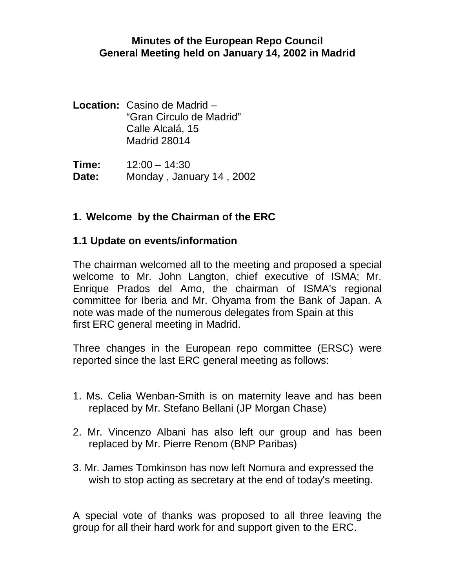#### **Minutes of the European Repo Council General Meeting held on January 14, 2002 in Madrid**

**Location:** Casino de Madrid – "Gran Circulo de Madrid" Calle Alcalá, 15 Madrid 28014

**Time:** 12:00 – 14:30 **Date:** Monday , January 14 , 2002

# **1. Welcome by the Chairman of the ERC**

### **1.1 Update on events/information**

The chairman welcomed all to the meeting and proposed a special welcome to Mr. John Langton, chief executive of ISMA; Mr. Enrique Prados del Amo, the chairman of ISMA's regional committee for Iberia and Mr. Ohyama from the Bank of Japan. A note was made of the numerous delegates from Spain at this first ERC general meeting in Madrid.

Three changes in the European repo committee (ERSC) were reported since the last ERC general meeting as follows:

- 1. Ms. Celia Wenban-Smith is on maternity leave and has been replaced by Mr. Stefano Bellani (JP Morgan Chase)
- 2. Mr. Vincenzo Albani has also left our group and has been replaced by Mr. Pierre Renom (BNP Paribas)
- 3. Mr. James Tomkinson has now left Nomura and expressed the wish to stop acting as secretary at the end of today's meeting.

A special vote of thanks was proposed to all three leaving the group for all their hard work for and support given to the ERC.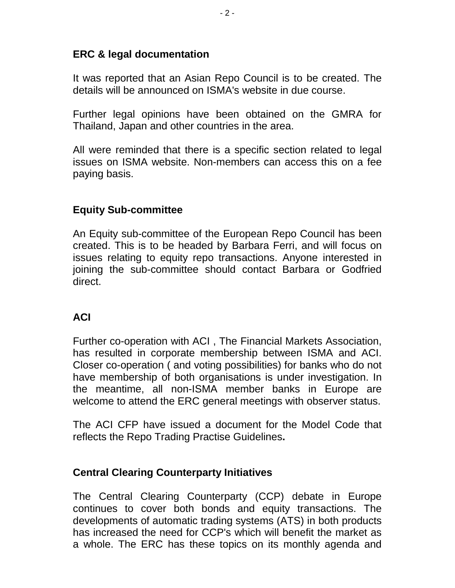# **ERC & legal documentation**

It was reported that an Asian Repo Council is to be created. The details will be announced on ISMA's website in due course.

Further legal opinions have been obtained on the GMRA for Thailand, Japan and other countries in the area.

All were reminded that there is a specific section related to legal issues on ISMA website. Non-members can access this on a fee paying basis.

### **Equity Sub-committee**

An Equity sub-committee of the European Repo Council has been created. This is to be headed by Barbara Ferri, and will focus on issues relating to equity repo transactions. Anyone interested in joining the sub-committee should contact Barbara or Godfried direct.

# **ACI**

Further co-operation with ACI , The Financial Markets Association, has resulted in corporate membership between ISMA and ACI. Closer co-operation ( and voting possibilities) for banks who do not have membership of both organisations is under investigation. In the meantime, all non-ISMA member banks in Europe are welcome to attend the ERC general meetings with observer status.

The ACI CFP have issued a document for the Model Code that reflects the Repo Trading Practise Guidelines**.**

#### **Central Clearing Counterparty Initiatives**

The Central Clearing Counterparty (CCP) debate in Europe continues to cover both bonds and equity transactions. The developments of automatic trading systems (ATS) in both products has increased the need for CCP's which will benefit the market as a whole. The ERC has these topics on its monthly agenda and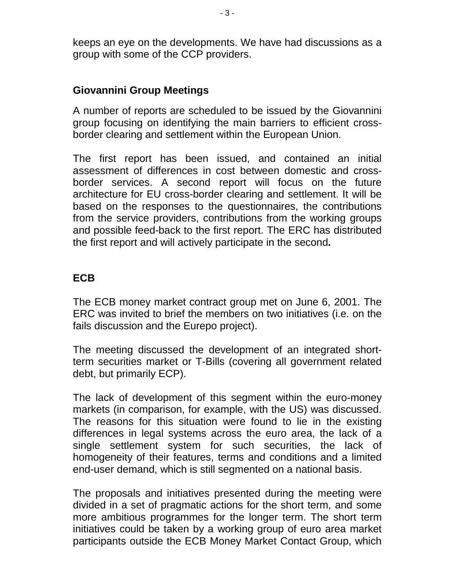keeps an eye on the developments. We have had discussions as a group with some of the CCP providers.

#### **Giovannini Group Meetings**

A number of reports are scheduled to be issued by the Giovannini group focusing on identifying the main barriers to efficient crossborder clearing and settlement within the European Union.

The first report has been issued, and contained an initial assessment of differences in cost between domestic and crossborder services. A second report will focus on the future architecture for EU cross-border clearing and settlement. It will be based on the responses to the questionnaires, the contributions from the service providers, contributions from the working groups and possible feed-back to the first report. The ERC has distributed the first report and will actively participate in the second**.**

### **ECB**

The ECB money market contract group met on June 6, 2001. The ERC was invited to brief the members on two initiatives (i.e. on the fails discussion and the Eurepo project).

The meeting discussed the development of an integrated shortterm securities market or T-Bills (covering all government related debt, but primarily ECP).

The lack of development of this segment within the euro-money markets (in comparison, for example, with the US) was discussed. The reasons for this situation were found to lie in the existing differences in legal systems across the euro area, the lack of a single settlement system for such securities, the lack of homogeneity of their features, terms and conditions and a limited end-user demand, which is still segmented on a national basis.

The proposals and initiatives presented during the meeting were divided in a set of pragmatic actions for the short term, and some more ambitious programmes for the longer term. The short term initiatives could be taken by a working group of euro area market participants outside the ECB Money Market Contact Group, which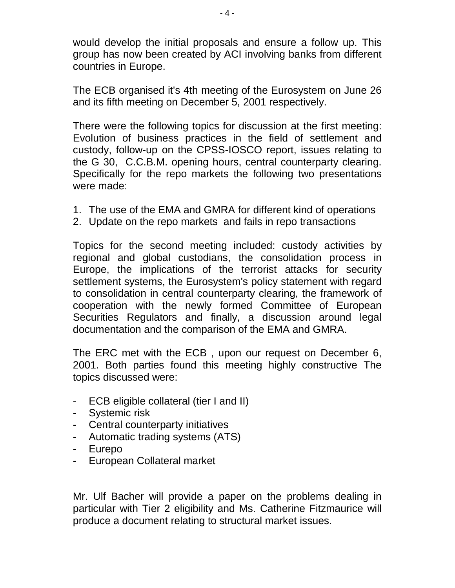would develop the initial proposals and ensure a follow up. This group has now been created by ACI involving banks from different countries in Europe.

The ECB organised it's 4th meeting of the Eurosystem on June 26 and its fifth meeting on December 5, 2001 respectively.

There were the following topics for discussion at the first meeting: Evolution of business practices in the field of settlement and custody, follow-up on the CPSS-IOSCO report, issues relating to the G 30, C.C.B.M. opening hours, central counterparty clearing. Specifically for the repo markets the following two presentations were made:

- 1. The use of the EMA and GMRA for different kind of operations
- 2. Update on the repo markets and fails in repo transactions

Topics for the second meeting included: custody activities by regional and global custodians, the consolidation process in Europe, the implications of the terrorist attacks for security settlement systems, the Eurosystem's policy statement with regard to consolidation in central counterparty clearing, the framework of cooperation with the newly formed Committee of European Securities Regulators and finally, a discussion around legal documentation and the comparison of the EMA and GMRA.

The ERC met with the ECB , upon our request on December 6, 2001. Both parties found this meeting highly constructive The topics discussed were:

- ECB eligible collateral (tier I and II)
- Systemic risk
- Central counterparty initiatives
- Automatic trading systems (ATS)
- Eurepo
- European Collateral market

Mr. Ulf Bacher will provide a paper on the problems dealing in particular with Tier 2 eligibility and Ms. Catherine Fitzmaurice will produce a document relating to structural market issues.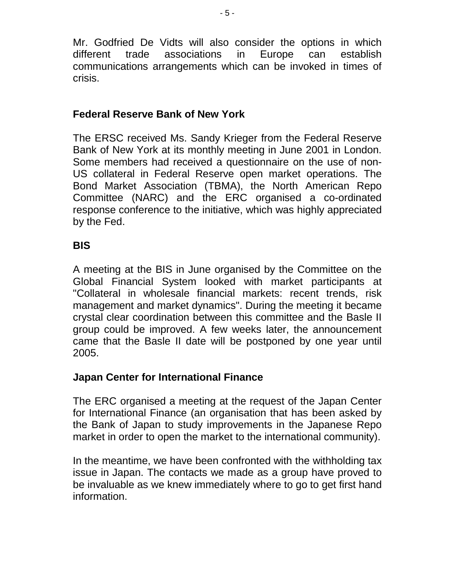Mr. Godfried De Vidts will also consider the options in which different trade associations in Europe can establish communications arrangements which can be invoked in times of crisis.

# **Federal Reserve Bank of New York**

The ERSC received Ms. Sandy Krieger from the Federal Reserve Bank of New York at its monthly meeting in June 2001 in London. Some members had received a questionnaire on the use of non-US collateral in Federal Reserve open market operations. The Bond Market Association (TBMA), the North American Repo Committee (NARC) and the ERC organised a co-ordinated response conference to the initiative, which was highly appreciated by the Fed.

# **BIS**

A meeting at the BIS in June organised by the Committee on the Global Financial System looked with market participants at "Collateral in wholesale financial markets: recent trends, risk management and market dynamics". During the meeting it became crystal clear coordination between this committee and the Basle II group could be improved. A few weeks later, the announcement came that the Basle II date will be postponed by one year until 2005.

# **Japan Center for International Finance**

The ERC organised a meeting at the request of the Japan Center for International Finance (an organisation that has been asked by the Bank of Japan to study improvements in the Japanese Repo market in order to open the market to the international community).

In the meantime, we have been confronted with the withholding tax issue in Japan. The contacts we made as a group have proved to be invaluable as we knew immediately where to go to get first hand information.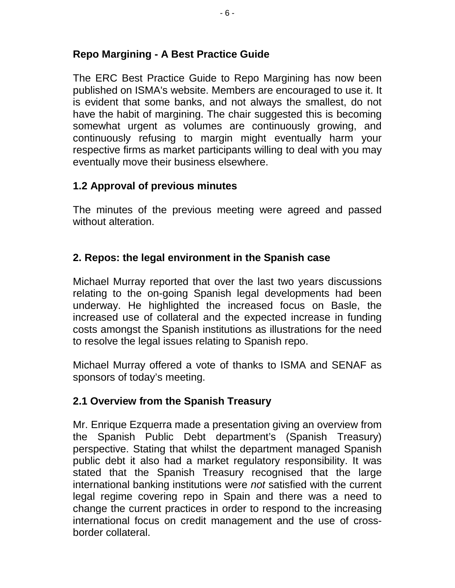### **Repo Margining - A Best Practice Guide**

The ERC Best Practice Guide to Repo Margining has now been published on ISMA's website. Members are encouraged to use it. It is evident that some banks, and not always the smallest, do not have the habit of margining. The chair suggested this is becoming somewhat urgent as volumes are continuously growing, and continuously refusing to margin might eventually harm your respective firms as market participants willing to deal with you may eventually move their business elsewhere.

### **1.2 Approval of previous minutes**

The minutes of the previous meeting were agreed and passed without alteration.

### **2. Repos: the legal environment in the Spanish case**

Michael Murray reported that over the last two years discussions relating to the on-going Spanish legal developments had been underway. He highlighted the increased focus on Basle, the increased use of collateral and the expected increase in funding costs amongst the Spanish institutions as illustrations for the need to resolve the legal issues relating to Spanish repo.

Michael Murray offered a vote of thanks to ISMA and SENAF as sponsors of today's meeting.

# **2.1 Overview from the Spanish Treasury**

Mr. Enrique Ezquerra made a presentation giving an overview from the Spanish Public Debt department's (Spanish Treasury) perspective. Stating that whilst the department managed Spanish public debt it also had a market regulatory responsibility. It was stated that the Spanish Treasury recognised that the large international banking institutions were *not* satisfied with the current legal regime covering repo in Spain and there was a need to change the current practices in order to respond to the increasing international focus on credit management and the use of crossborder collateral.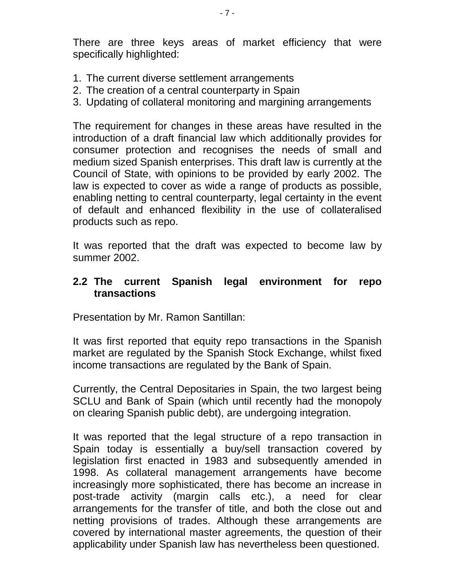There are three keys areas of market efficiency that were specifically highlighted:

- 1. The current diverse settlement arrangements
- 2. The creation of a central counterparty in Spain
- 3. Updating of collateral monitoring and margining arrangements

The requirement for changes in these areas have resulted in the introduction of a draft financial law which additionally provides for consumer protection and recognises the needs of small and medium sized Spanish enterprises. This draft law is currently at the Council of State, with opinions to be provided by early 2002. The law is expected to cover as wide a range of products as possible, enabling netting to central counterparty, legal certainty in the event of default and enhanced flexibility in the use of collateralised products such as repo.

It was reported that the draft was expected to become law by summer 2002.

#### **2.2 The current Spanish legal environment for repo transactions**

Presentation by Mr. Ramon Santillan:

It was first reported that equity repo transactions in the Spanish market are regulated by the Spanish Stock Exchange, whilst fixed income transactions are regulated by the Bank of Spain.

Currently, the Central Depositaries in Spain, the two largest being SCLU and Bank of Spain (which until recently had the monopoly on clearing Spanish public debt), are undergoing integration.

It was reported that the legal structure of a repo transaction in Spain today is essentially a buy/sell transaction covered by legislation first enacted in 1983 and subsequently amended in 1998. As collateral management arrangements have become increasingly more sophisticated, there has become an increase in post-trade activity (margin calls etc.), a need for clear arrangements for the transfer of title, and both the close out and netting provisions of trades. Although these arrangements are covered by international master agreements, the question of their applicability under Spanish law has nevertheless been questioned.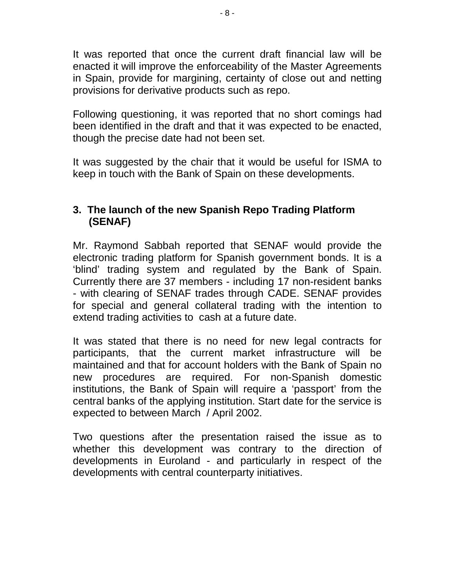It was reported that once the current draft financial law will be enacted it will improve the enforceability of the Master Agreements in Spain, provide for margining, certainty of close out and netting provisions for derivative products such as repo.

Following questioning, it was reported that no short comings had been identified in the draft and that it was expected to be enacted, though the precise date had not been set.

It was suggested by the chair that it would be useful for ISMA to keep in touch with the Bank of Spain on these developments.

## **3. The launch of the new Spanish Repo Trading Platform (SENAF)**

Mr. Raymond Sabbah reported that SENAF would provide the electronic trading platform for Spanish government bonds. It is a 'blind' trading system and regulated by the Bank of Spain. Currently there are 37 members - including 17 non-resident banks - with clearing of SENAF trades through CADE. SENAF provides for special and general collateral trading with the intention to extend trading activities to cash at a future date.

It was stated that there is no need for new legal contracts for participants, that the current market infrastructure will be maintained and that for account holders with the Bank of Spain no new procedures are required. For non-Spanish domestic institutions, the Bank of Spain will require a 'passport' from the central banks of the applying institution. Start date for the service is expected to between March / April 2002.

Two questions after the presentation raised the issue as to whether this development was contrary to the direction of developments in Euroland - and particularly in respect of the developments with central counterparty initiatives.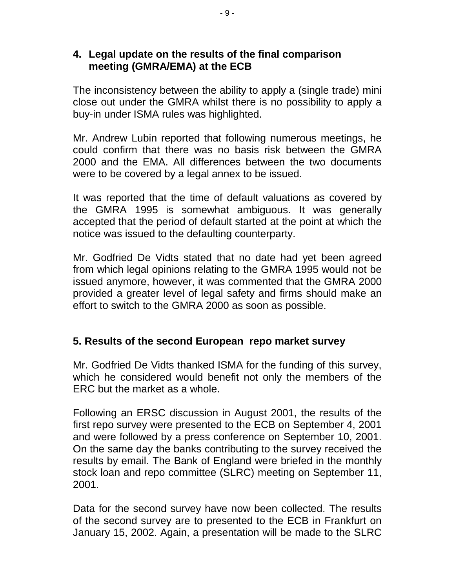### **4. Legal update on the results of the final comparison meeting (GMRA/EMA) at the ECB**

The inconsistency between the ability to apply a (single trade) mini close out under the GMRA whilst there is no possibility to apply a buy-in under ISMA rules was highlighted.

Mr. Andrew Lubin reported that following numerous meetings, he could confirm that there was no basis risk between the GMRA 2000 and the EMA. All differences between the two documents were to be covered by a legal annex to be issued.

It was reported that the time of default valuations as covered by the GMRA 1995 is somewhat ambiguous. It was generally accepted that the period of default started at the point at which the notice was issued to the defaulting counterparty.

Mr. Godfried De Vidts stated that no date had yet been agreed from which legal opinions relating to the GMRA 1995 would not be issued anymore, however, it was commented that the GMRA 2000 provided a greater level of legal safety and firms should make an effort to switch to the GMRA 2000 as soon as possible.

# **5. Results of the second European repo market survey**

Mr. Godfried De Vidts thanked ISMA for the funding of this survey, which he considered would benefit not only the members of the ERC but the market as a whole.

Following an ERSC discussion in August 2001, the results of the first repo survey were presented to the ECB on September 4, 2001 and were followed by a press conference on September 10, 2001. On the same day the banks contributing to the survey received the results by email. The Bank of England were briefed in the monthly stock loan and repo committee (SLRC) meeting on September 11, 2001.

Data for the second survey have now been collected. The results of the second survey are to presented to the ECB in Frankfurt on January 15, 2002. Again, a presentation will be made to the SLRC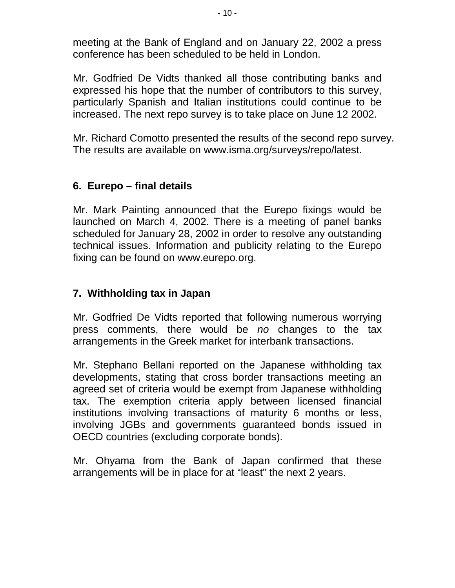meeting at the Bank of England and on January 22, 2002 a press conference has been scheduled to be held in London.

Mr. Godfried De Vidts thanked all those contributing banks and expressed his hope that the number of contributors to this survey, particularly Spanish and Italian institutions could continue to be increased. The next repo survey is to take place on June 12 2002.

Mr. Richard Comotto presented the results of the second repo survey. The results are available on www.isma.org/surveys/repo/latest.

# **6. Eurepo – final details**

Mr. Mark Painting announced that the Eurepo fixings would be launched on March 4, 2002. There is a meeting of panel banks scheduled for January 28, 2002 in order to resolve any outstanding technical issues. Information and publicity relating to the Eurepo fixing can be found on www.eurepo.org.

# **7. Withholding tax in Japan**

Mr. Godfried De Vidts reported that following numerous worrying press comments, there would be *no* changes to the tax arrangements in the Greek market for interbank transactions.

Mr. Stephano Bellani reported on the Japanese withholding tax developments, stating that cross border transactions meeting an agreed set of criteria would be exempt from Japanese withholding tax. The exemption criteria apply between licensed financial institutions involving transactions of maturity 6 months or less, involving JGBs and governments guaranteed bonds issued in OECD countries (excluding corporate bonds).

Mr. Ohyama from the Bank of Japan confirmed that these arrangements will be in place for at "least" the next 2 years.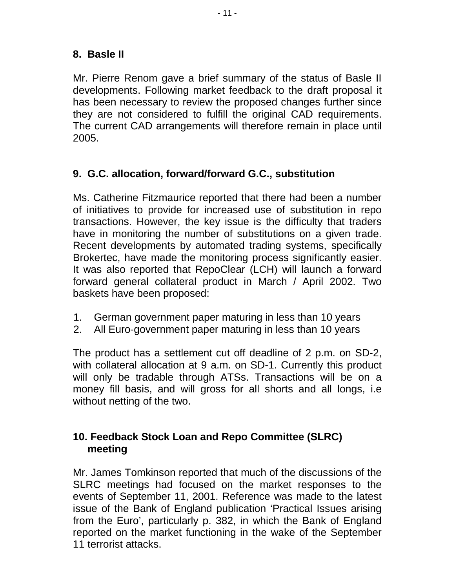# **8. Basle II**

Mr. Pierre Renom gave a brief summary of the status of Basle II developments. Following market feedback to the draft proposal it has been necessary to review the proposed changes further since they are not considered to fulfill the original CAD requirements. The current CAD arrangements will therefore remain in place until 2005.

# **9. G.C. allocation, forward/forward G.C., substitution**

Ms. Catherine Fitzmaurice reported that there had been a number of initiatives to provide for increased use of substitution in repo transactions. However, the key issue is the difficulty that traders have in monitoring the number of substitutions on a given trade. Recent developments by automated trading systems, specifically Brokertec, have made the monitoring process significantly easier. It was also reported that RepoClear (LCH) will launch a forward forward general collateral product in March / April 2002. Two baskets have been proposed:

- 1. German government paper maturing in less than 10 years
- 2. All Euro-government paper maturing in less than 10 years

The product has a settlement cut off deadline of 2 p.m. on SD-2, with collateral allocation at 9 a.m. on SD-1. Currently this product will only be tradable through ATSs. Transactions will be on a money fill basis, and will gross for all shorts and all longs, i.e without netting of the two.

# **10.Feedback Stock Loan and Repo Committee (SLRC) meeting**

Mr. James Tomkinson reported that much of the discussions of the SLRC meetings had focused on the market responses to the events of September 11, 2001. Reference was made to the latest issue of the Bank of England publication 'Practical Issues arising from the Euro', particularly p. 382, in which the Bank of England reported on the market functioning in the wake of the September 11 terrorist attacks.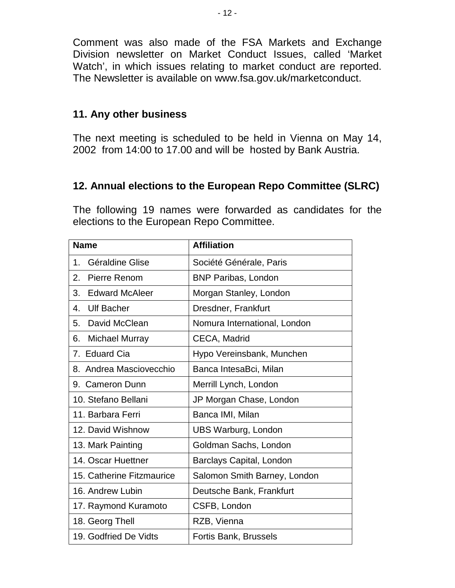Comment was also made of the FSA Markets and Exchange Division newsletter on Market Conduct Issues, called 'Market Watch', in which issues relating to market conduct are reported. The Newsletter is available on www.fsa.gov.uk/marketconduct.

#### **11. Any other business**

The next meeting is scheduled to be held in Vienna on May 14, 2002 from 14:00 to 17.00 and will be hosted by Bank Austria.

### **12. Annual elections to the European Repo Committee (SLRC)**

The following 19 names were forwarded as candidates for the elections to the European Repo Committee.

| <b>Name</b>                 | <b>Affiliation</b>           |
|-----------------------------|------------------------------|
| Géraldine Glise<br>1.       | Société Générale, Paris      |
| 2.<br>Pierre Renom          | <b>BNP Paribas, London</b>   |
| <b>Edward McAleer</b><br>3. | Morgan Stanley, London       |
| <b>Ulf Bacher</b><br>4.     | Dresdner, Frankfurt          |
| David McClean<br>5.         | Nomura International, London |
| <b>Michael Murray</b><br>6. | CECA, Madrid                 |
| 7. Eduard Cia               | Hypo Vereinsbank, Munchen    |
| 8. Andrea Masciovecchio     | Banca IntesaBci, Milan       |
| 9. Cameron Dunn             | Merrill Lynch, London        |
| 10. Stefano Bellani         | JP Morgan Chase, London      |
| 11. Barbara Ferri           | Banca IMI, Milan             |
| 12. David Wishnow           | <b>UBS Warburg, London</b>   |
| 13. Mark Painting           | Goldman Sachs, London        |
| 14. Oscar Huettner          | Barclays Capital, London     |
| 15. Catherine Fitzmaurice   | Salomon Smith Barney, London |
| 16. Andrew Lubin            | Deutsche Bank, Frankfurt     |
| 17. Raymond Kuramoto        | CSFB, London                 |
| 18. Georg Thell             | RZB, Vienna                  |
| 19. Godfried De Vidts       | Fortis Bank, Brussels        |